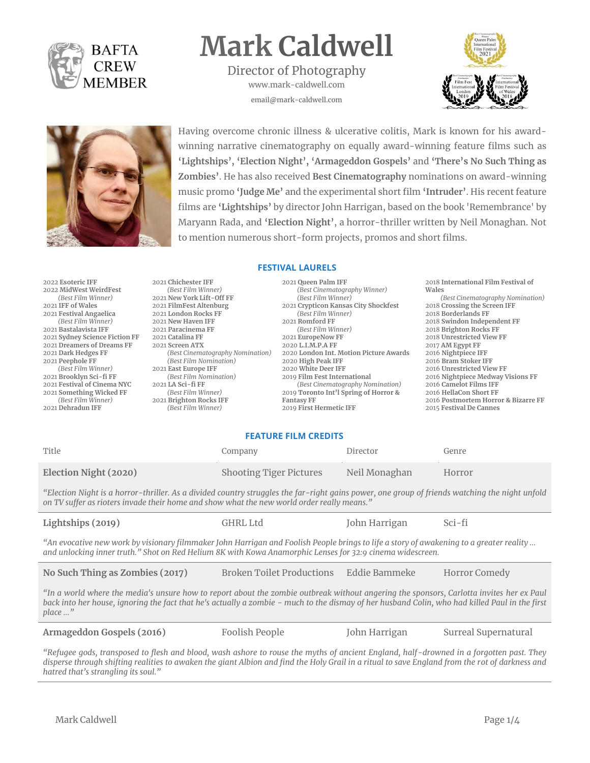

# **Mark Caldwell**

Director of Photography www.mark-caldwell.com email@mark-caldwell.com





Having overcome chronic illness & ulcerative colitis, Mark is known for his awardwinning narrative cinematography on equally award-winning feature films such as **'Lightships', 'Election Night', 'Armageddon Gospels'** and **'There's No Such Thing as Zombies'**. He has also received **Best Cinematography** nominations on award-winning music promo **'Judge Me'** and the experimental short film **'Intruder'**. His recent feature films are **'Lightships'** by director John Harrigan, based on the book 'Remembrance' by Maryann Rada, and **'Election Night'**, a horror-thriller written by Neil Monaghan. Not to mention numerous short-form projects, promos and short films.

#### **FESTIVAL LAURELS**

| 2022 Esoteric IFF              | 2021 Chichester IFF              | 2021 Oueen Palm IFF                    | 2018 International Film Festival of |
|--------------------------------|----------------------------------|----------------------------------------|-------------------------------------|
| 2022 MidWest WeirdFest         | (Best Film Winner)               | (Best Cinematography Winner)           | Wales                               |
| (Best Film Winner)             | 2021 New York Lift-Off FF        | (Best Film Winner)                     | (Best Cinematography Nomination)    |
| 2021 IFF of Wales              | 2021 FilmFest Altenburg          | 2021 Crypticon Kansas City Shockfest   | 2018 Crossing the Screen IFF        |
| 2021 Festival Angaelica        | 2021 London Rocks FF             | (Best Film Winner)                     | 2018 Borderlands FF                 |
| (Best Film Winner)             | 2021 New Haven IFF               | 2021 Romford FF                        | 2018 Swindon Independent FF         |
| 2021 Bastalavista IFF          | 2021 Paracinema FF               | (Best Film Winner)                     | 2018 Brighton Rocks FF              |
| 2021 Sydney Science Fiction FF | 2021 Catalina FF                 | 2021 EuropeNow FF                      | 2018 Unrestricted View FF           |
| 2021 Dreamers of Dreams FF     | 2021 Screen ATX                  | 2020 L.I.M.P.A FF                      | 2017 AM Egypt FF                    |
| 2021 Dark Hedges FF            | (Best Cinematography Nomination) | 2020 London Int. Motion Picture Awards | 2016 Nightpiece IFF                 |
| 2021 Peephole FF               | (Best Film Nomination)           | 2020 High Peak IFF                     | 2016 Bram Stoker IFF                |
| (Best Film Winner)             | 2021 East Europe IFF             | 2020 White Deer IFF                    | 2016 Unrestricted View FF           |
| 2021 Brooklyn Sci-fi FF        | (Best Film Nomination)           | 2019 Film Fest International           | 2016 Nightpiece Medway Visions FF   |
| 2021 Festival of Cinema NYC    | 2021 LA Sci-fi FF                | (Best Cinematography Nomination)       | 2016 Camelot Films IFF              |
| 2021 Something Wicked FF       | (Best Film Winner)               | 2019 Toronto Int'l Spring of Horror &  | 2016 HellaCon Short FF              |
| (Best Film Winner)             | 2021 Brighton Rocks IFF          | <b>Fantasy FF</b>                      | 2016 Postmortem Horror & Bizarre FF |
| 2021 Dehradun IFF              | (Best Film Winner)               | 2019 First Hermetic IFF                | 2015 Festival De Cannes             |

#### **FEATURE FILM CREDITS**

| Title                 | Company                        | Director      | Genre  |
|-----------------------|--------------------------------|---------------|--------|
| Election Night (2020) | <b>Shooting Tiger Pictures</b> | Neil Monaghan | Horror |

*"Election Night is a horror-thriller. As a divided country struggles the far-right gains power, one group of friends watching the night unfold on TV suffer as rioters invade their home and show what the new world order really means."*

| Lightships (2019)                                                                                                                     | GHRL Ltd | John Harrigan | Sci-fi |  |
|---------------------------------------------------------------------------------------------------------------------------------------|----------|---------------|--------|--|
| h avocative new work by visionary filmmaker John Harrigan and Foolish Deople brings to life a story of awakening to a greater reality |          |               |        |  |

*"An evocative new work by visionary filmmaker John Harrigan and Foolish People brings to life a story of awakening to a greater reality … and unlocking inner truth." Shot on Red Helium 8K with Kowa Anamorphic Lenses for 32:9 cinema widescreen.*

**No Such Thing as Zombies (2017)** Broken Toilet Productions Eddie Bammeke Horror Comedy

*"In a world where the media's unsure how to report about the zombie outbreak without angering the sponsors, Carlotta invites her ex Paul back into her house, ignoring the fact that he's actually a zombie - much to the dismay of her husband Colin, who had killed Paul in the first place …"*

**Armageddon Gospels (2016)** Foolish People John Harrigan Surreal Supernatural

*"Refugee gods, transposed to flesh and blood, wash ashore to rouse the myths of ancient England, half-drowned in a forgotten past. They disperse through shifting realities to awaken the giant Albion and find the Holy Grail in a ritual to save England from the rot of darkness and hatred that's strangling its soul."*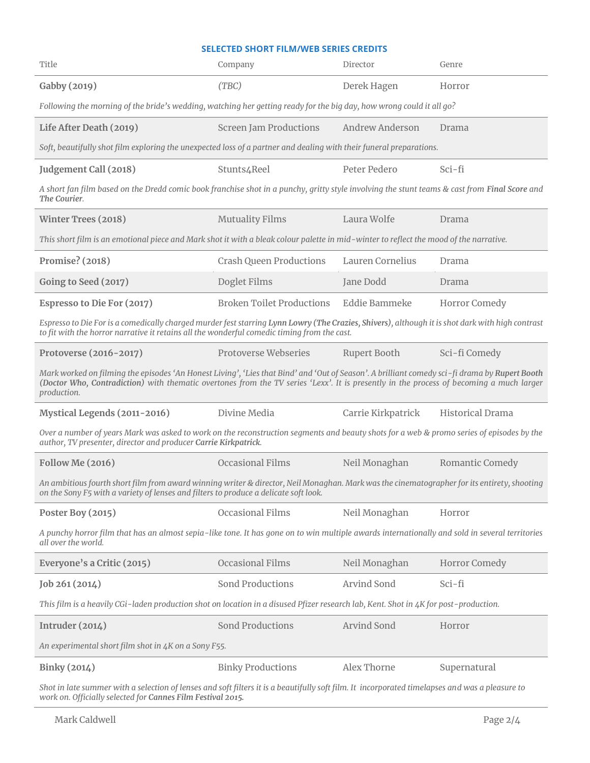### **SELECTED SHORT FILM/WEB SERIES CREDITS**

| Title                                                                                                                                                                                                                                                                                                   | Company                          | Director               | Genre                   |  |
|---------------------------------------------------------------------------------------------------------------------------------------------------------------------------------------------------------------------------------------------------------------------------------------------------------|----------------------------------|------------------------|-------------------------|--|
| Gabby (2019)                                                                                                                                                                                                                                                                                            | (TBC)                            | Derek Hagen            | Horror                  |  |
| Following the morning of the bride's wedding, watching her getting ready for the big day, how wrong could it all go?                                                                                                                                                                                    |                                  |                        |                         |  |
| Life After Death (2019)                                                                                                                                                                                                                                                                                 | <b>Screen Jam Productions</b>    | <b>Andrew Anderson</b> | Drama                   |  |
| Soft, beautifully shot film exploring the unexpected loss of a partner and dealing with their funeral preparations.                                                                                                                                                                                     |                                  |                        |                         |  |
| Judgement Call (2018)                                                                                                                                                                                                                                                                                   | Stunts4Reel                      | Peter Pedero           | Sci-fi                  |  |
| A short fan film based on the Dredd comic book franchise shot in a punchy, gritty style involving the stunt teams & cast from Final Score and<br>The Courier.                                                                                                                                           |                                  |                        |                         |  |
| <b>Winter Trees (2018)</b>                                                                                                                                                                                                                                                                              | <b>Mutuality Films</b>           | Laura Wolfe            | Drama                   |  |
| This short film is an emotional piece and Mark shot it with a bleak colour palette in mid-winter to reflect the mood of the narrative.                                                                                                                                                                  |                                  |                        |                         |  |
| Promise? (2018)                                                                                                                                                                                                                                                                                         | <b>Crash Queen Productions</b>   | Lauren Cornelius       | Drama                   |  |
| Going to Seed (2017)                                                                                                                                                                                                                                                                                    | Doglet Films                     | Jane Dodd              | Drama                   |  |
| Espresso to Die For (2017)                                                                                                                                                                                                                                                                              | <b>Broken Toilet Productions</b> | Eddie Bammeke          | Horror Comedy           |  |
| Espresso to Die For is a comedically charged murder fest starring Lynn Lowry (The Crazies, Shivers), although it is shot dark with high contrast<br>to fit with the horror narrative it retains all the wonderful comedic timing from the cast.                                                         |                                  |                        |                         |  |
| Protoverse (2016-2017)                                                                                                                                                                                                                                                                                  | Protoverse Webseries             | <b>Rupert Booth</b>    | Sci-fi Comedy           |  |
| Mark worked on filming the episodes 'An Honest Living', 'Lies that Bind' and 'Out of Season'. A brilliant comedy sci-fi drama by Rupert Booth<br>(Doctor Who, Contradiction) with thematic overtones from the TV series 'Lexx'. It is presently in the process of becoming a much larger<br>production. |                                  |                        |                         |  |
| Mystical Legends (2011-2016)                                                                                                                                                                                                                                                                            | Divine Media                     | Carrie Kirkpatrick     | <b>Historical Drama</b> |  |
| Over a number of years Mark was asked to work on the reconstruction segments and beauty shots for a web & promo series of episodes by the<br>author, TV presenter, director and producer Carrie Kirkpatrick.                                                                                            |                                  |                        |                         |  |
| <b>Follow Me (2016)</b>                                                                                                                                                                                                                                                                                 | <b>Occasional Films</b>          | Neil Monaghan          | Romantic Comedy         |  |
| An ambitious fourth short film from award winning writer & director, Neil Monaghan. Mark was the cinematographer for its entirety, shooting<br>on the Sony F5 with a variety of lenses and filters to produce a delicate soft look.                                                                     |                                  |                        |                         |  |
| Poster Boy (2015)                                                                                                                                                                                                                                                                                       | Occasional Films                 | Neil Monaghan          | Horror                  |  |
| A punchy horror film that has an almost sepia-like tone. It has gone on to win multiple awards internationally and sold in several territories<br>all over the world.                                                                                                                                   |                                  |                        |                         |  |
| Everyone's a Critic (2015)                                                                                                                                                                                                                                                                              | <b>Occasional Films</b>          | Neil Monaghan          | Horror Comedy           |  |
| Job 261 (2014)                                                                                                                                                                                                                                                                                          | <b>Sond Productions</b>          | <b>Arvind Sond</b>     | Sci-fi                  |  |
| This film is a heavily CGi-laden production shot on location in a disused Pfizer research lab, Kent. Shot in 4K for post-production.                                                                                                                                                                    |                                  |                        |                         |  |
| Intruder $(2014)$                                                                                                                                                                                                                                                                                       | <b>Sond Productions</b>          | Arvind Sond            | Horror                  |  |
| An experimental short film shot in 4K on a Sony F55.                                                                                                                                                                                                                                                    |                                  |                        |                         |  |
| Binky (2014)                                                                                                                                                                                                                                                                                            | <b>Binky Productions</b>         | Alex Thorne            | Supernatural            |  |
| Shot in late summer with a selection of lenses and soft filters it is a beautifully soft film. It incorporated timelapses and was a pleasure to<br>work on. Officially selected for Cannes Film Festival 2015.                                                                                          |                                  |                        |                         |  |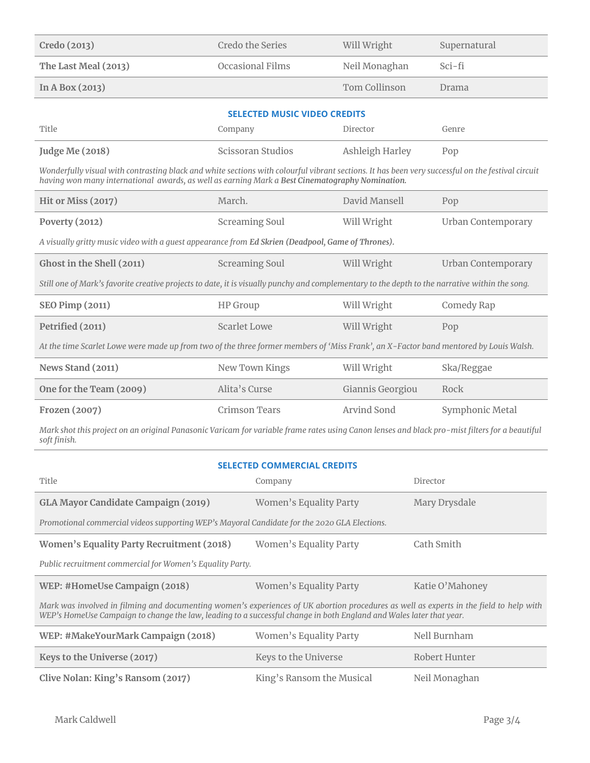| Credo (2013)         | Credo the Series | Will Wright   | Supernatural |
|----------------------|------------------|---------------|--------------|
| The Last Meal (2013) | Occasional Films | Neil Monaghan | Sci-fi       |
| In A Box $(2013)$    |                  | Tom Collinson | Drama        |

| <b>SELECTED MUSIC VIDEO CREDITS</b> |  |
|-------------------------------------|--|
|-------------------------------------|--|

| Title           | Company           | Director        | Genre |
|-----------------|-------------------|-----------------|-------|
| Judge Me (2018) | Scissoran Studios | Ashleigh Harley | Pop   |

*Wonderfully visual with contrasting black and white sections with colourful vibrant sections. It has been very successful on the festival circuit having won many international awards, as well as earning Mark a Best Cinematography Nomination.*

| Hit or Miss (2017)                                                                                                                             | March.                | David Mansell    | Pop                       |  |
|------------------------------------------------------------------------------------------------------------------------------------------------|-----------------------|------------------|---------------------------|--|
| Poverty $(2012)$                                                                                                                               | <b>Screaming Soul</b> | Will Wright      | Urban Contemporary        |  |
| A visually gritty music video with a quest appearance from Ed Skrien (Deadpool, Game of Thrones).                                              |                       |                  |                           |  |
| Ghost in the Shell (2011)                                                                                                                      | <b>Screaming Soul</b> | Will Wright      | <b>Urban Contemporary</b> |  |
| Still one of Mark's favorite creative projects to date, it is visually punchy and complementary to the depth to the narrative within the song. |                       |                  |                           |  |
| <b>SEO Pimp (2011)</b>                                                                                                                         | HP Group              | Will Wright      | Comedy Rap                |  |
| Petrified (2011)                                                                                                                               | Scarlet Lowe          | Will Wright      | Pop                       |  |
| At the time Scarlet Lowe were made up from two of the three former members of 'Miss Frank', an X-Factor band mentored by Louis Walsh.          |                       |                  |                           |  |
| News Stand (2011)                                                                                                                              | New Town Kings        | Will Wright      | Ska/Reggae                |  |
| One for the Team (2009)                                                                                                                        | Alita's Curse         | Giannis Georgiou | Rock                      |  |
| Frozen (2007)                                                                                                                                  | Crimson Tears         | Arvind Sond      | Symphonic Metal           |  |

*Mark shot this project on an original Panasonic Varicam for variable frame rates using Canon lenses and black pro-mist filters for a beautiful soft finish.*

## **SELECTED COMMERCIAL CREDITS**

| Title                                                                                                                                                                                                                                                          | Company                   | Director        |  |  |  |
|----------------------------------------------------------------------------------------------------------------------------------------------------------------------------------------------------------------------------------------------------------------|---------------------------|-----------------|--|--|--|
| GLA Mayor Candidate Campaign (2019)                                                                                                                                                                                                                            | Women's Equality Party    | Mary Drysdale   |  |  |  |
| Promotional commercial videos supporting WEP's Mayoral Candidate for the 2020 GLA Elections.                                                                                                                                                                   |                           |                 |  |  |  |
| Women's Equality Party Recruitment (2018)                                                                                                                                                                                                                      | Women's Equality Party    | Cath Smith      |  |  |  |
| Public recruitment commercial for Women's Equality Party.                                                                                                                                                                                                      |                           |                 |  |  |  |
| WEP: #HomeUse Campaign (2018)                                                                                                                                                                                                                                  | Women's Equality Party    | Katie O'Mahoney |  |  |  |
| Mark was involved in filming and documenting women's experiences of UK abortion procedures as well as experts in the field to help with<br>WEP's HomeUse Campaign to change the law, leading to a successful change in both England and Wales later that year. |                           |                 |  |  |  |
| WEP: #MakeYourMark Campaign (2018)                                                                                                                                                                                                                             | Women's Equality Party    | Nell Burnham    |  |  |  |
| Keys to the Universe (2017)                                                                                                                                                                                                                                    | Keys to the Universe      | Robert Hunter   |  |  |  |
| Clive Nolan: King's Ransom (2017)                                                                                                                                                                                                                              | King's Ransom the Musical | Neil Monaghan   |  |  |  |